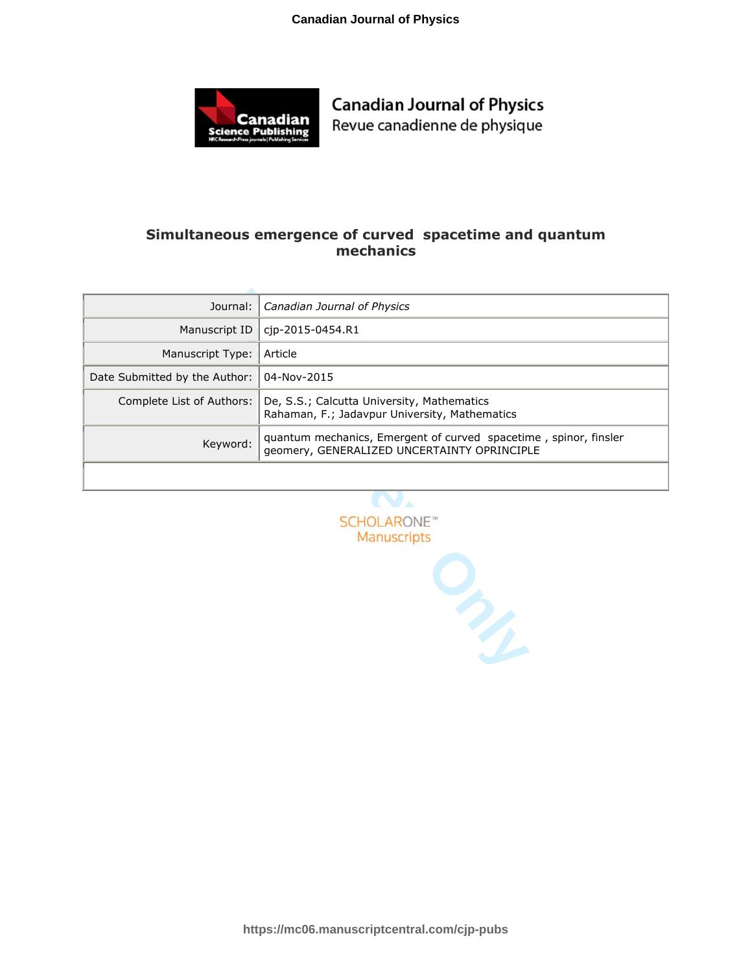

Revue canadienne de physique

### **Simultaneous emergence of curved spacetime and quantum mechanics**

| Journal:                       | Canadian Journal of Physics                                                                                     |
|--------------------------------|-----------------------------------------------------------------------------------------------------------------|
| Manuscript ID                  | cjp-2015-0454.R1                                                                                                |
| Manuscript Type:               | Article                                                                                                         |
| Date Submitted by the Author:  | 04-Nov-2015                                                                                                     |
| Complete List of Authors:      | De, S.S.; Calcutta University, Mathematics<br>Rahaman, F.; Jadavpur University, Mathematics                     |
| Keyword:                       | quantum mechanics, Emergent of curved spacetime, spinor, finsler<br>geomery, GENERALIZED UNCERTAINTY OPRINCIPLE |
|                                |                                                                                                                 |
|                                |                                                                                                                 |
| <b>SCHOLARONE</b> <sup>®</sup> |                                                                                                                 |
| <b>Manuscripts</b>             |                                                                                                                 |
| RICH                           |                                                                                                                 |

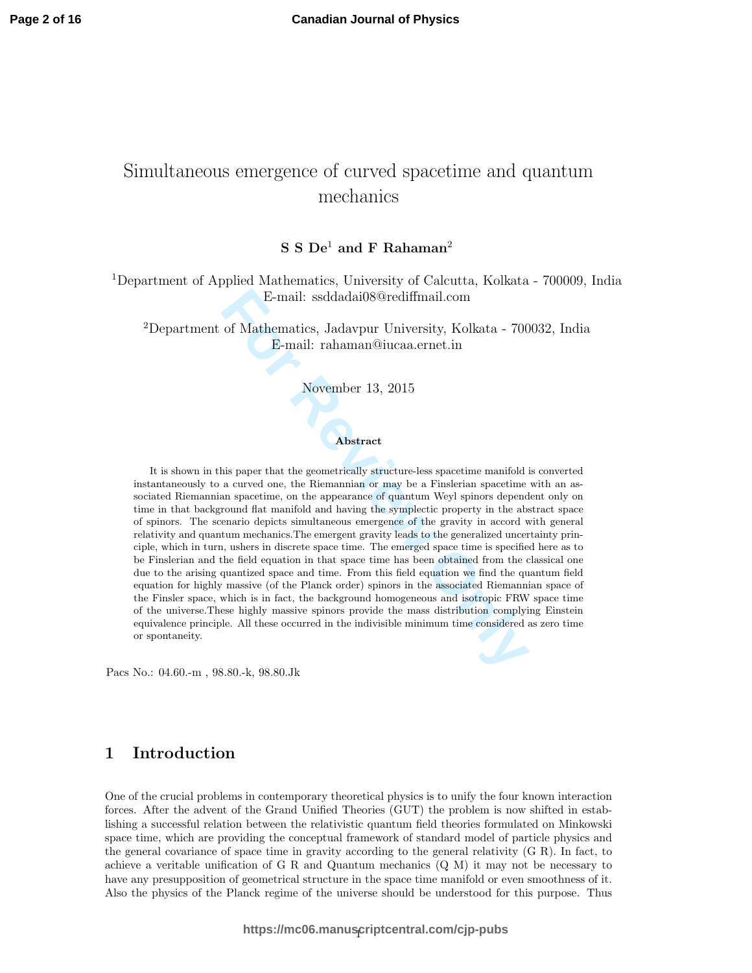# Simultaneous emergence of curved spacetime and quantum mechanics

### $S S De<sup>1</sup>$  and F Rahaman<sup>2</sup>

<sup>1</sup>Department of Applied Mathematics, University of Calcutta, Kolkata - 700009, India E-mail: ssddadai08@rediffmail.com

<sup>2</sup>Department of Mathematics, Jadavpur University, Kolkata - 700032, India E-mail: rahaman@iucaa.ernet.in

#### November 13, 2015

#### Abstract

E-mail: ssddadai08@rediffmail.com<br>
of Mathematics, Jadavpur University, Kolkata - 700<br>
E-mail: rahaman@iucaa.ernet.in<br>
November 13, 2015<br>
November 13, 2015<br>
Abstract<br>
his paper that the geometrically structure-less spaceti It is shown in this paper that the geometrically structure-less spacetime manifold is converted instantaneously to a curved one, the Riemannian or may be a Finslerian spacetime with an associated Riemannian spacetime, on the appearance of quantum Weyl spinors dependent only on time in that background flat manifold and having the symplectic property in the abstract space of spinors. The scenario depicts simultaneous emergence of the gravity in accord with general relativity and quantum mechanics.The emergent gravity leads to the generalized uncertainty principle, which in turn, ushers in discrete space time. The emerged space time is specified here as to be Finslerian and the field equation in that space time has been obtained from the classical one due to the arising quantized space and time. From this field equation we find the quantum field equation for highly massive (of the Planck order) spinors in the associated Riemannian space of the Finsler space, which is in fact, the background homogeneous and isotropic FRW space time of the universe.These highly massive spinors provide the mass distribution complying Einstein equivalence principle. All these occurred in the indivisible minimum time considered as zero time or spontaneity.

Pacs No.: 04.60.-m , 98.80.-k, 98.80.Jk

### 1 Introduction

One of the crucial problems in contemporary theoretical physics is to unify the four known interaction forces. After the advent of the Grand Unified Theories (GUT) the problem is now shifted in establishing a successful relation between the relativistic quantum field theories formulated on Minkowski space time, which are providing the conceptual framework of standard model of particle physics and the general covariance of space time in gravity according to the general relativity (G R). In fact, to achieve a veritable unification of G R and Quantum mechanics (Q M) it may not be necessary to have any presupposition of geometrical structure in the space time manifold or even smoothness of it. Also the physics of the Planck regime of the universe should be understood for this purpose. Thus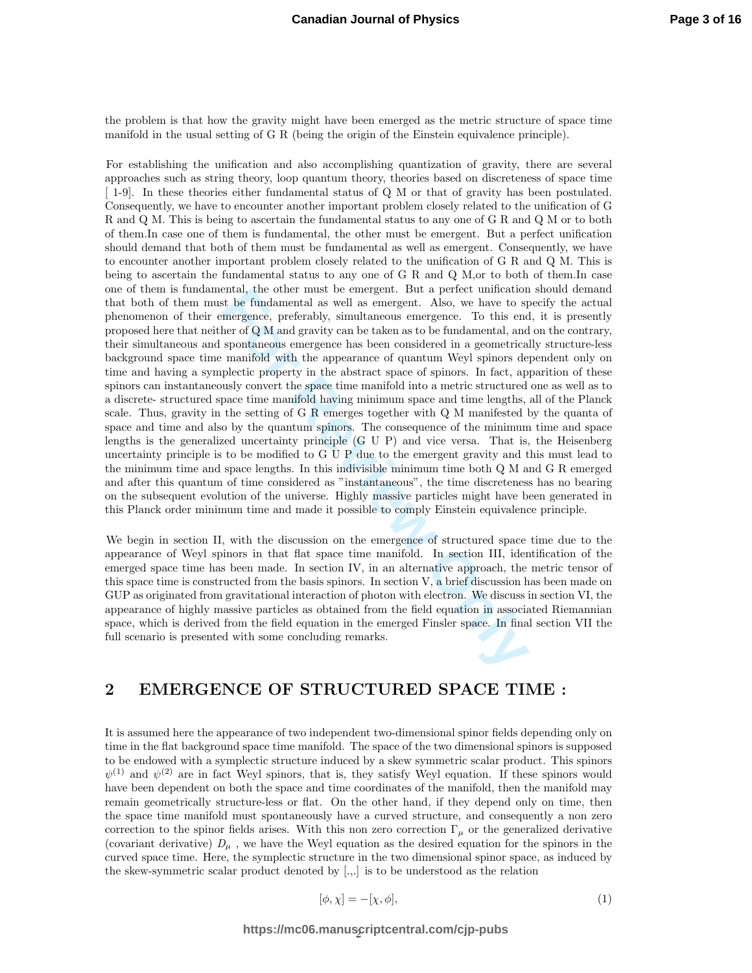the problem is that how the gravity might have been emerged as the metric structure of space time manifold in the usual setting of G R (being the origin of the Einstein equivalence principle).

entail, the other must be emergent. But a perect unication<br>st be fundamental as well as emergent. Also, we have to spineter the<br>production of QM and gravity can be taken as to be fundamental, and<br>spontaneous emergence has For establishing the unification and also accomplishing quantization of gravity, there are several approaches such as string theory, loop quantum theory, theories based on discreteness of space time [ 1-9]. In these theories either fundamental status of Q M or that of gravity has been postulated. Consequently, we have to encounter another important problem closely related to the unification of G R and Q M. This is being to ascertain the fundamental status to any one of G R and Q M or to both of them.In case one of them is fundamental, the other must be emergent. But a perfect unification should demand that both of them must be fundamental as well as emergent. Consequently, we have to encounter another important problem closely related to the unification of G R and Q M. This is being to ascertain the fundamental status to any one of G R and Q M,or to both of them.In case one of them is fundamental, the other must be emergent. But a perfect unification should demand that both of them must be fundamental as well as emergent. Also, we have to specify the actual phenomenon of their emergence, preferably, simultaneous emergence. To this end, it is presently proposed here that neither of Q M and gravity can be taken as to be fundamental, and on the contrary, their simultaneous and spontaneous emergence has been considered in a geometrically structure-less background space time manifold with the appearance of quantum Weyl spinors dependent only on time and having a symplectic property in the abstract space of spinors. In fact, apparition of these spinors can instantaneously convert the space time manifold into a metric structured one as well as to a discrete- structured space time manifold having minimum space and time lengths, all of the Planck scale. Thus, gravity in the setting of G R emerges together with Q M manifested by the quanta of space and time and also by the quantum spinors. The consequence of the minimum time and space lengths is the generalized uncertainty principle (G U P) and vice versa. That is, the Heisenberg uncertainty principle is to be modified to G U P due to the emergent gravity and this must lead to the minimum time and space lengths. In this indivisible minimum time both Q M and G R emerged and after this quantum of time considered as "instantaneous", the time discreteness has no bearing on the subsequent evolution of the universe. Highly massive particles might have been generated in this Planck order minimum time and made it possible to comply Einstein equivalence principle.

We begin in section II, with the discussion on the emergence of structured space time due to the appearance of Weyl spinors in that flat space time manifold. In section III, identification of the emerged space time has been made. In section IV, in an alternative approach, the metric tensor of this space time is constructed from the basis spinors. In section  $V$ , a brief discussion has been made on GUP as originated from gravitational interaction of photon with electron. We discuss in section VI, the appearance of highly massive particles as obtained from the field equation in associated Riemannian space, which is derived from the field equation in the emerged Finsler space. In final section VII the full scenario is presented with some concluding remarks.

#### 2 EMERGENCE OF STRUCTURED SPACE TIME :

It is assumed here the appearance of two independent two-dimensional spinor fields depending only on time in the flat background space time manifold. The space of the two dimensional spinors is supposed to be endowed with a symplectic structure induced by a skew symmetric scalar product. This spinors  $\psi^{(1)}$  and  $\psi^{(2)}$  are in fact Weyl spinors, that is, they satisfy Weyl equation. If these spinors would have been dependent on both the space and time coordinates of the manifold, then the manifold may remain geometrically structure-less or flat. On the other hand, if they depend only on time, then the space time manifold must spontaneously have a curved structure, and consequently a non zero correction to the spinor fields arises. With this non zero correction  $\Gamma_{\mu}$  or the generalized derivative (covariant derivative)  $D_{\mu}$ , we have the Weyl equation as the desired equation for the spinors in the curved space time. Here, the symplectic structure in the two dimensional spinor space, as induced by the skew-symmetric scalar product denoted by [.,.] is to be understood as the relation

$$
[\phi, \chi] = -[\chi, \phi],\tag{1}
$$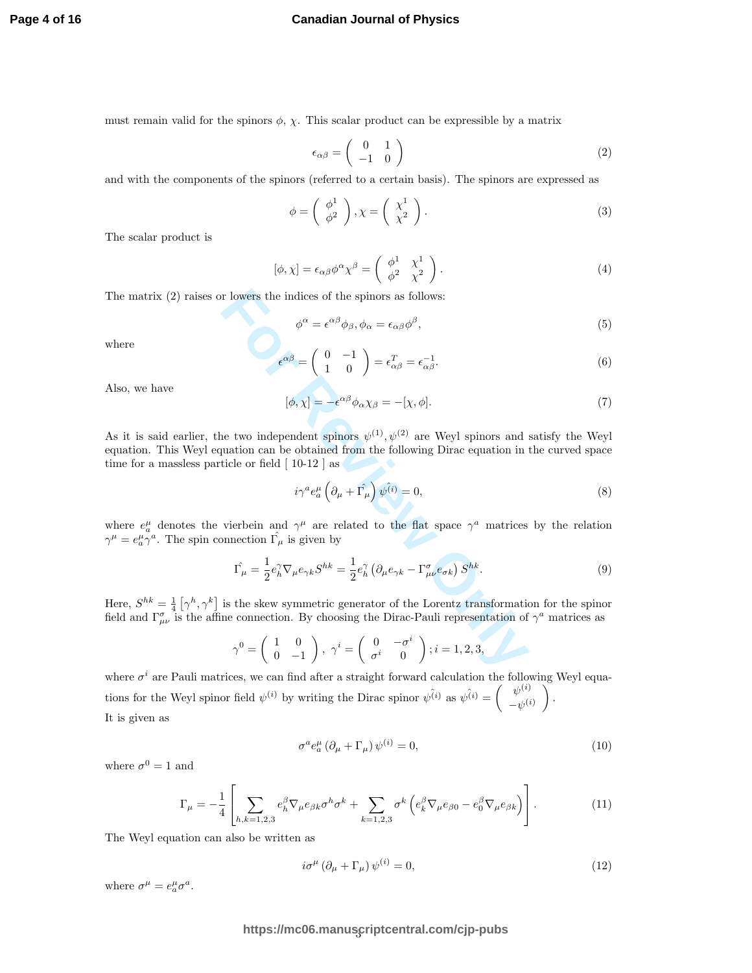must remain valid for the spinors  $\phi$ ,  $\chi$ . This scalar product can be expressible by a matrix

$$
\epsilon_{\alpha\beta} = \begin{pmatrix} 0 & 1 \\ -1 & 0 \end{pmatrix} \tag{2}
$$

and with the components of the spinors (referred to a certain basis). The spinors are expressed as

$$
\phi = \left(\begin{array}{c} \phi^1 \\ \phi^2 \end{array}\right), \chi = \left(\begin{array}{c} \chi^1 \\ \chi^2 \end{array}\right). \tag{3}
$$

The scalar product is

$$
[\phi, \chi] = \epsilon_{\alpha\beta} \phi^{\alpha} \chi^{\beta} = \begin{pmatrix} \phi^1 & \chi^1 \\ \phi^2 & \chi^2 \end{pmatrix} . \tag{4}
$$

The matrix (2) raises or lowers the indices of the spinors as follows:

$$
\phi^{\alpha} = \epsilon^{\alpha\beta} \phi_{\beta}, \phi_{\alpha} = \epsilon_{\alpha\beta} \phi^{\beta}, \tag{5}
$$

where

$$
\epsilon^{\alpha\beta} = \begin{pmatrix} 0 & -1 \\ 1 & 0 \end{pmatrix} = \epsilon_{\alpha\beta}^T = \epsilon_{\alpha\beta}^{-1}.
$$
 (6)

Also, we have

$$
[\phi, \chi] = -\epsilon^{\alpha\beta} \phi_{\alpha} \chi_{\beta} = -[\chi, \phi]. \tag{7}
$$

**Follows:**<br>  $\phi^{\alpha} = \epsilon^{\alpha\beta}\phi_{\beta}, \phi_{\alpha} = \epsilon_{\alpha\beta}\phi^{\beta},$ <br>  $\epsilon^{\alpha\beta} = \begin{pmatrix} 0 & -1 \\ 1 & 0 \end{pmatrix} = \epsilon_{\alpha\beta}^{T} = \epsilon_{\alpha\beta}^{-1},$ <br>  $[\phi, \chi] = -\epsilon^{\alpha\beta}\phi_{\alpha}\chi_{\beta} = -[\chi, \phi].$ <br>
ne two independent spinors  $\psi^{(1)}, \psi^{(2)}$  are Weyl spinors and a<br>
q As it is said earlier, the two independent spinors  $\psi^{(1)}, \psi^{(2)}$  are Weyl spinors and satisfy the Weyl equation. This Weyl equation can be obtained from the following Dirac equation in the curved space time for a massless particle or field [ 10-12 ] as

$$
i\gamma^{a}e_{a}^{\mu}\left(\partial_{\mu}+\hat{\Gamma_{\mu}}\right)\hat{\psi^{(i)}}=0,
$$
\n(8)

where  $e^{\mu}_{a}$  denotes the vierbein and  $\gamma^{\mu}$  are related to the flat space  $\gamma^{a}$  matrices by the relation  $\gamma^{\mu} = e^{\mu}_{a} \gamma^{a}$ . The spin connection  $\hat{\Gamma}_{\mu}$  is given by

$$
\hat{\Gamma_{\mu}} = \frac{1}{2} e_h^{\gamma} \nabla_{\mu} e_{\gamma k} S^{hk} = \frac{1}{2} e_h^{\gamma} \left( \partial_{\mu} e_{\gamma k} - \Gamma^{\sigma}_{\mu \nu} e_{\sigma k} \right) S^{hk}.
$$
\n
$$
(9)
$$

Here,  $S^{hk} = \frac{1}{4} [\gamma^h, \gamma^k]$  is the skew symmetric generator of the Lorentz transformation for the spinor field and  $\Gamma^{\sigma}_{\mu\nu}$  is the affine connection. By choosing the Dirac-Pauli representation of  $\gamma^a$  matrices as

$$
\gamma^0=\left(\begin{array}{cc} 1 & 0 \\ 0 & -1 \end{array}\right),\ \gamma^i=\left(\begin{array}{cc} 0 & -\sigma^i \\ \sigma^i & 0 \end{array}\right); i=1,2,3,
$$

where  $\sigma^i$  are Pauli matrices, we can find after a straight forward calculation the following Weyl equations for the Weyl spinor field  $\psi^{(i)}$  by writing the Dirac spinor  $\psi^{(i)}$  as  $\psi^{(i)} = \begin{pmatrix} \psi^{(i)} \\ -\psi^{(i)} \end{pmatrix}$ . It is given as

$$
\sigma^a e_a^\mu \left(\partial_\mu + \Gamma_\mu\right) \psi^{(i)} = 0,\tag{10}
$$

where  $\sigma^0=1$  and<br>  $\Gamma_\mu$ 

$$
\Gamma_{\mu} = -\frac{1}{4} \left[ \sum_{h,k=1,2,3} e_{h}^{\beta} \nabla_{\mu} e_{\beta k} \sigma^{h} \sigma^{k} + \sum_{k=1,2,3} \sigma^{k} \left( e_{k}^{\beta} \nabla_{\mu} e_{\beta 0} - e_{0}^{\beta} \nabla_{\mu} e_{\beta k} \right) \right]. \tag{11}
$$

The Weyl equation can also be written as

$$
i\sigma^{\mu} \left( \partial_{\mu} + \Gamma_{\mu} \right) \psi^{(i)} = 0, \tag{12}
$$

where  $\sigma^{\mu} = e^{\mu}_{a}\sigma^{a}$ .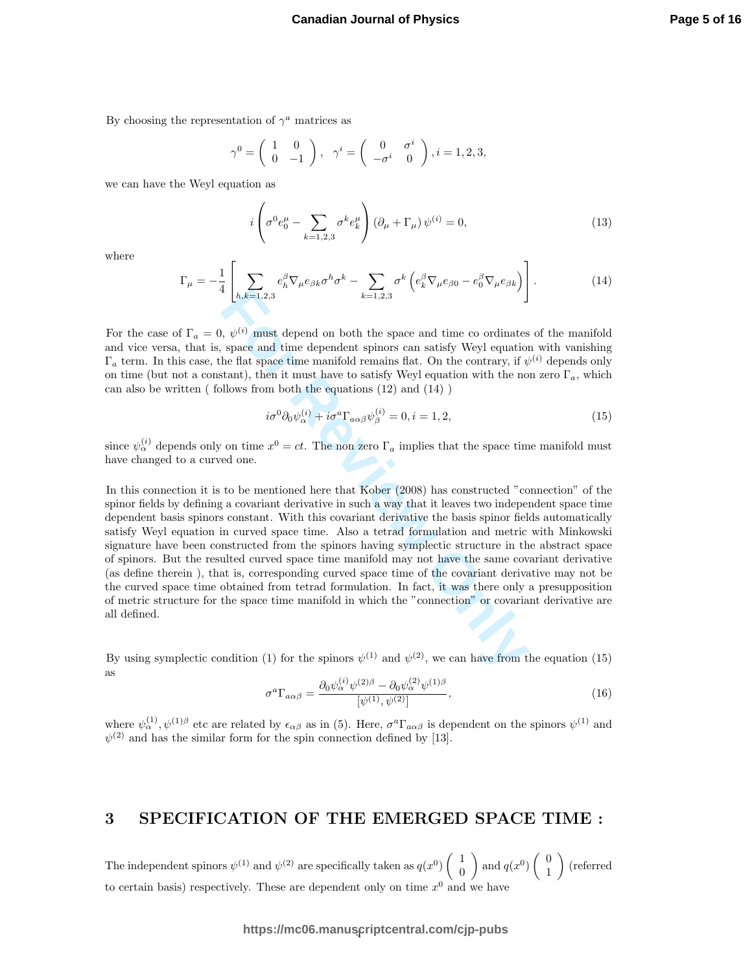By choosing the representation of  $\gamma^a$  matrices as

$$
\gamma^0 = \begin{pmatrix} 1 & 0 \\ 0 & -1 \end{pmatrix}, \quad \gamma^i = \begin{pmatrix} 0 & \sigma^i \\ -\sigma^i & 0 \end{pmatrix}, i = 1, 2, 3,
$$

we can have the Weyl equation as

$$
i\left(\sigma^{0}e_{0}^{\mu}-\sum_{k=1,2,3}\sigma^{k}e_{k}^{\mu}\right)\left(\partial_{\mu}+\Gamma_{\mu}\right)\psi^{(i)}=0,
$$
\n(13)

where

$$
\Gamma_{\mu} = -\frac{1}{4} \left[ \sum_{h,k=1,2,3} e_h^{\beta} \nabla_{\mu} e_{\beta k} \sigma^h \sigma^k - \sum_{k=1,2,3} \sigma^k \left( e_k^{\beta} \nabla_{\mu} e_{\beta 0} - e_0^{\beta} \nabla_{\mu} e_{\beta k} \right) \right]. \tag{14}
$$

For the case of  $\Gamma_a = 0$ ,  $\psi^{(i)}$  must depend on both the space and time co ordinates of the manifold and vice versa, that is, space and time dependent spinors can satisfy Weyl equation with vanishing  $\Gamma_a$  term. In this case, the flat space time manifold remains flat. On the contrary, if  $\psi^{(i)}$  depends only on time (but not a constant), then it must have to satisfy Weyl equation with the non zero  $\Gamma_a$ , which can also be written ( follows from both the equations (12) and (14) )

$$
i\sigma^{0}\partial_{0}\psi_{\alpha}^{(i)} + i\sigma^{a}\Gamma_{a\alpha\beta}\psi_{\beta}^{(i)} = 0, i = 1, 2,
$$
\n(15)

since  $\psi_\alpha^{(i)}$  depends only on time  $x^0 = ct$ . The non zero  $\Gamma_a$  implies that the space time manifold must have changed to a curved one.

 $\left[ h_*k=1,2,3 \right]$   $k=1,2,3$   $k=1,2,3$   $k=1,2,3$   $k=1,2,3$   $k=1,2,3$   $k=1,2,3$   $k=1,2,3$  expansion the dependent spinors can satisfy Weyl equation tatm space time manifold remains flat. On the contrary, if  $\psi$  allows from In this connection it is to be mentioned here that Kober (2008) has constructed "connection" of the spinor fields by defining a covariant derivative in such a way that it leaves two independent space time dependent basis spinors constant. With this covariant derivative the basis spinor fields automatically satisfy Weyl equation in curved space time. Also a tetrad formulation and metric with Minkowski signature have been constructed from the spinors having symplectic structure in the abstract space of spinors. But the resulted curved space time manifold may not have the same covariant derivative (as define therein ), that is, corresponding curved space time of the covariant derivative may not be the curved space time obtained from tetrad formulation. In fact, it was there only a presupposition of metric structure for the space time manifold in which the "connection" or covariant derivative are all defined.

By using symplectic condition (1) for the spinors  $\psi^{(1)}$  and  $\psi^{(2)}$ , we can have from the equation (15) as

$$
\sigma^a \Gamma_{a\alpha\beta} = \frac{\partial_0 \psi_\alpha^{(i)} \psi^{(2)\beta} - \partial_0 \psi_\alpha^{(2)} \psi^{(1)\beta}}{[\psi^{(1)}, \psi^{(2)}]},
$$
\n(16)

where  $\psi_{\alpha}^{(1)}, \psi_{\alpha}^{(1)}$  etc are related by  $\epsilon_{\alpha\beta}$  as in (5). Here,  $\sigma^{\alpha}\Gamma_{a\alpha\beta}$  is dependent on the spinors  $\psi_{\alpha}^{(1)}$  and  $\psi^{(2)}$  and has the similar form for the spin connection defined by [13].

#### 3 SPECIFICATION OF THE EMERGED SPACE TIME :

The independent spinors  $\psi^{(1)}$  and  $\psi^{(2)}$  are specifically taken as  $q(x^0)$  $\left(\begin{array}{c}1\\0\end{array}\right)$ and  $q(x^0)$  $\left(\begin{array}{c}0\\1\end{array}\right)$ (referred to certain basis) respectively. These are dependent only on time  $x^0$  and we have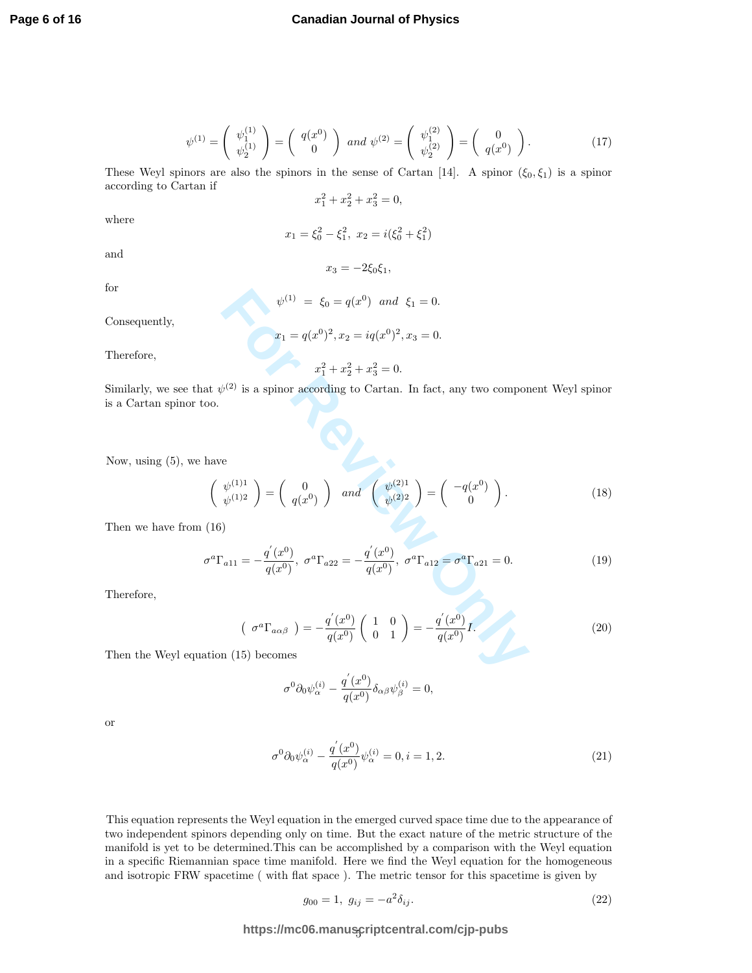$$
\psi^{(1)} = \begin{pmatrix} \psi_1^{(1)} \\ \psi_2^{(1)} \end{pmatrix} = \begin{pmatrix} q(x^0) \\ 0 \end{pmatrix} \text{ and } \psi^{(2)} = \begin{pmatrix} \psi_1^{(2)} \\ \psi_2^{(2)} \end{pmatrix} = \begin{pmatrix} 0 \\ q(x^0) \end{pmatrix}.
$$
 (17)

These Weyl spinors are also the spinors in the sense of Cartan [14]. A spinor  $(\xi_0, \xi_1)$  is a spinor according to Cartan if

 $x_1^2 + x_2^2 + x_3^2 = 0,$ 

where

$$
x_1 = \xi_0^2 - \xi_1^2, \ x_2 = i(\xi_0^2 + \xi_1^2)
$$

and

for

$$
\psi^{(1)} = \xi_0 = q(x^0) \text{ and } \xi_1 = 0
$$

 $x_3 = -2\xi_0 \xi_1,$ 

Consequently,

Therefore,

 $x_1 = q(x^0)^2, x_2 = iq(x^0)^2, x_3 = 0.$  $x_1^2 + x_2^2 + x_3^2 = 0.$ 

Similarly, we see that  $\psi^{(2)}$  is a spinor according to Cartan. In fact, any two component Weyl spinor is a Cartan spinor too.

Now, using (5), we have

$$
\psi^{(1)} = \xi_0 = q(x^0) \text{ and } \xi_1 = 0.
$$
\n
$$
x_1 = q(x^0)^2, x_2 = iq(x^0)^2, x_3 = 0.
$$
\n
$$
x_1^2 + x_2^2 + x_3^2 = 0.
$$
\n
$$
x_1^2 + x_2^2 + x_3^2 = 0.
$$
\n
$$
x_1 \psi^{(2)}
$$
 is a spinor according to Cartan. In fact, any two component Weyl spinor  
\nso.\n
$$
\left(\begin{array}{c} \psi^{(1)1} \\ \psi^{(1)2} \end{array}\right) = \left(\begin{array}{c} 0 \\ q(x^0) \end{array}\right) \text{ and } \left(\begin{array}{c} \psi^{(2)1} \\ \psi^{(2)2} \end{array}\right) = \left(\begin{array}{c} -q(x^0) \\ 0 \end{array}\right).
$$
\n
$$
x_1 \psi^{(2)} = x_1 \psi^{(2)1} \text{ and } \psi^{(2)2} = x_1 \psi^{(2)2} \text{ and } \psi^{(2)2} = x_1 \psi^{(2)2} \text{ and } \psi^{(2)2} = x_1 \psi^{(2)2} \text{ and } \psi^{(2)2} = x_1 \psi^{(2)2} \text{ and } \psi^{(2)2} = x_1 \psi^{(2)2} \text{ and } \psi^{(2)2} = x_1 \psi^{(2)2} \text{ and } \psi^{(2)2} = x_1 \psi^{(2)2} \text{ and } \psi^{(2)2} = x_1 \psi^{(2)2} \text{ and } \psi^{(2)2} = x_1 \psi^{(2)2} \text{ and } \psi^{(2)2} = x_1 \psi^{(2)2} \text{ and } \psi^{(2)2} = x_1 \psi^{(2)2} \text{ and } \psi^{(2)2} = x_1 \psi^{(2)2} \text{ and } \psi^{(2)2} = x_1 \psi^{(2)2} \text{ and } \psi^{(2)2} = x_1 \psi^{(2)2} \text{ and } \psi^{(2)2} = x_1 \psi^{(2)2} \text{ and } \psi^{(2)2} = x_1 \psi^{(2)2} \text{ and } \psi^{(2)2} = x_1 \psi^{(2)2} \text{ and
$$

Then we have from (16)

$$
\sigma^a \Gamma_{a11} = -\frac{q'(x^0)}{q(x^0)}, \ \sigma^a \Gamma_{a22} = -\frac{q'(x^0)}{q(x^0)}, \ \sigma^a \Gamma_{a12} = \sigma^a \Gamma_{a21} = 0. \tag{19}
$$

Therefore,

$$
\left(\begin{array}{c} \sigma^a \Gamma_{a\alpha\beta} \end{array}\right) = -\frac{q'(x^0)}{q(x^0)} \left(\begin{array}{cc} 1 & 0 \\ 0 & 1 \end{array}\right) = -\frac{q'(x^0)}{q(x^0)} I. \tag{20}
$$

Then the Weyl equation (15) becomes

$$
\sigma^0\partial_0\psi_{\alpha}^{(i)}-\frac{q^{'}(x^0)}{q(x^0)}\delta_{\alpha\beta}\psi_{\beta}^{(i)}=0,
$$

or

$$
\sigma^{0} \partial_{0} \psi_{\alpha}^{(i)} - \frac{q'(x^{0})}{q(x^{0})} \psi_{\alpha}^{(i)} = 0, i = 1, 2.
$$
\n(21)

This equation represents the Weyl equation in the emerged curved space time due to the appearance of two independent spinors depending only on time. But the exact nature of the metric structure of the manifold is yet to be determined.This can be accomplished by a comparison with the Weyl equation in a specific Riemannian space time manifold. Here we find the Weyl equation for the homogeneous and isotropic FRW spacetime ( with flat space ). The metric tensor for this spacetime is given by

$$
g_{00} = 1, \ g_{ij} = -a^2 \delta_{ij}.
$$
\n(22)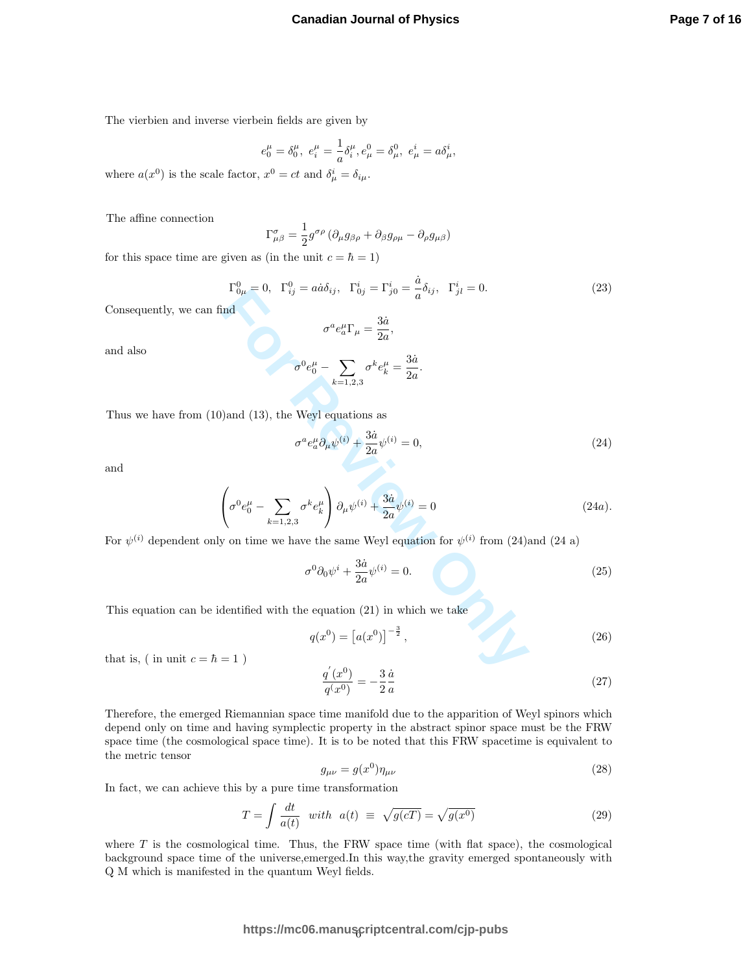$$
e_0^{\mu} = \delta_0^{\mu}, \ e_i^{\mu} = \frac{1}{a} \delta_i^{\mu}, e_{\mu}^0 = \delta_{\mu}^0, \ e_{\mu}^i = a \delta_{\mu}^i,
$$

where  $a(x^0)$  is the scale factor,  $x^0 = ct$  and  $\delta^i_\mu = \delta_{i\mu}$ .

The affine connection

$$
\Gamma^{\sigma}_{\mu\beta} = \frac{1}{2} g^{\sigma\rho} \left( \partial_{\mu} g_{\beta\rho} + \partial_{\beta} g_{\rho\mu} - \partial_{\rho} g_{\mu\beta} \right)
$$

for this space time are given as (in the unit  $c = \hbar = 1$ )

$$
\Gamma_{0\mu}^{0} = 0, \ \ \Gamma_{ij}^{0} = a\dot{a}\delta_{ij}, \ \ \Gamma_{0j}^{i} = \Gamma_{j0}^{i} = \frac{\dot{a}}{a}\delta_{ij}, \ \ \Gamma_{jl}^{i} = 0. \tag{23}
$$

Consequently, we can find

and also

 $\sigma^a e^\mu_a \Gamma_\mu = \frac{3\dot{a}}{2a}$  $\frac{3a}{2a}$  $\sigma^0 e_0^{\mu} - \sum$  $_{k=1,2,3}$  $\sigma^k e^{\mu}_k = \frac{3\dot{a}}{2a}$  $\frac{3a}{2a}$ .

Thus we have from (10)and (13), the Weyl equations as

$$
\sigma^a e_a^\mu \partial_\mu \psi^{(i)} + \frac{3\dot{a}}{2a} \psi^{(i)} = 0,\tag{24}
$$

and

1 
$$
_{0\mu} = 0
$$
,  $_{ij} = 4a\omega_{ij}$ ,  $_{0j} = 1_{j0} = \frac{1}{2} - \frac{1}{2} = 0$ . (25)  
\nfind  
\n
$$
\sigma^a e_a^\mu \Gamma_\mu = \frac{3\dot{a}}{2a},
$$
\n
$$
\sigma^0 e_0^\mu - \sum_{k=1,2,3} \sigma^k e_k^\mu = \frac{3\dot{a}}{2a}.
$$
\n1) and (13), the Weyl equations as  
\n
$$
\sigma^a e_a^\mu \partial_\mu \psi^{(i)} + \frac{3\dot{a}}{2a} \psi^{(i)} = 0,
$$
\n
$$
\left(\sigma^0 e_0^\mu - \sum_{k=1,2,3} \sigma^k e_k^\mu\right) \partial_\mu \psi^{(i)} + \frac{3\dot{a}}{2a} \psi^{(i)} = 0
$$
\n
$$
\left(\sigma^0 e_0^\mu - \sum_{k=1,2,3} \sigma^k e_k^\mu\right) \partial_\mu \psi^{(i)} + \frac{3\dot{a}}{2a} \psi^{(i)} = 0
$$
\n24a).\n12a  
\n15a  
\n16a  
\n17a  
\n18b  
\n19a  
\n10a  
\n10a  
\n11a  
\n12b  
\n13b  
\n14a  
\n15b  
\n16c  
\n17a  
\n18b  
\n19a  
\n10c  
\n10d  
\n11a  
\n12b  
\n13b  
\n14d  
\n15b  
\n16d  
\n17a  
\n18b  
\n19a  
\n19a  
\n10a  
\n10a  
\n11b  
\n12b  
\n13b  
\n14c  
\n15b  
\n16d  
\n17c  
\n18d  
\n19a  
\n19a  
\n10a  
\n10a  
\n11a  
\n12b  
\n13b  
\n14c  
\n15b  
\n16d  
\n17c  
\n18d  
\n19a  
\n19a  
\n10b  
\n10d  
\n11a  
\n12b  
\n13b  
\n15b  
\n16c  
\n17c  
\n18d  
\n19a

For  $\psi^{(i)}$  dependent only on time we have the same Weyl equation for  $\psi^{(i)}$  from (24)and (24 a)

$$
\sigma^0 \partial_0 \psi^i + \frac{3\dot{a}}{2a} \psi^{(i)} = 0. \tag{25}
$$

This equation can be identified with the equation (21) in which we take

$$
q(x^{0}) = [a(x^{0})]^{-\frac{3}{2}},
$$
\n(26)

that is, ( in unit  $c = \hbar = 1$  )

$$
\frac{q'(x^0)}{q(x^0)} = -\frac{3}{2}\frac{\dot{a}}{a} \tag{27}
$$

Therefore, the emerged Riemannian space time manifold due to the apparition of Weyl spinors which depend only on time and having symplectic property in the abstract spinor space must be the FRW space time (the cosmological space time). It is to be noted that this FRW spacetime is equivalent to the metric tensor

$$
g_{\mu\nu} = g(x^0)\eta_{\mu\nu} \tag{28}
$$

In fact, we can achieve this by a pure time transformation

$$
T = \int \frac{dt}{a(t)} \quad with \quad a(t) \equiv \sqrt{g(c)} = \sqrt{g(x^0)} \tag{29}
$$

where  $T$  is the cosmological time. Thus, the FRW space time (with flat space), the cosmological background space time of the universe,emerged.In this way,the gravity emerged spontaneously with Q M which is manifested in the quantum Weyl fields.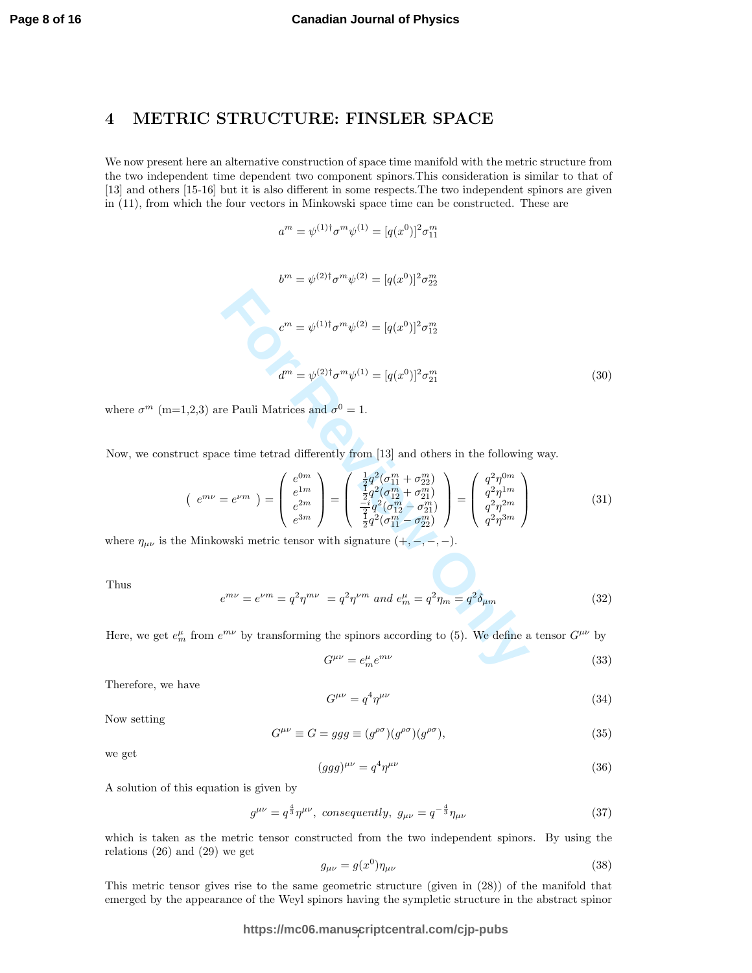#### 4 METRIC STRUCTURE: FINSLER SPACE

We now present here an alternative construction of space time manifold with the metric structure from the two independent time dependent two component spinors.This consideration is similar to that of [13] and others [15-16] but it is also different in some respects. The two independent spinors are given in (11), from which the four vectors in Minkowski space time can be constructed. These are

$$
a^m = \psi^{(1)\dagger} \sigma^m \psi^{(1)} = [q(x^0)]^2 \sigma_{11}^m
$$

$$
b^{m} = \psi^{(2)\dagger} \sigma^{m} \psi^{(2)} = [q(x^{0})]^{2} \sigma_{22}^{m}
$$
  
\n
$$
c^{m} = \psi^{(1)\dagger} \sigma^{m} \psi^{(2)} = [q(x^{0})]^{2} \sigma_{12}^{m}
$$
  
\n
$$
d^{m} = \psi^{(2)\dagger} \sigma^{m} \psi^{(1)} = [q(x^{0})]^{2} \sigma_{21}^{m}
$$
\n(30)  
\nwe Pauli Matrices and  $\sigma^{0} = 1$ .  
\n  
\n
$$
c^{m} = e^{\psi^{(2)\dagger}} \sigma^{m} \psi^{(1)} = [q(x^{0})]^{2} \sigma_{21}^{m}
$$
\n(31)  
\n
$$
e^{im} = e^{\nu m} = \begin{pmatrix} e^{0m} \\ e^{1m} \\ e^{2m} \\ e^{3m} \end{pmatrix} = \begin{pmatrix} \frac{1}{2}q^{2}(\sigma_{11}^{m} + \sigma_{22}^{m}) \\ \frac{1}{2}q^{2}(\sigma_{12}^{m} - \sigma_{21}^{m}) \\ \frac{1}{2}q^{2}(\sigma_{11}^{m} - \sigma_{22}^{m}) \end{pmatrix} = \begin{pmatrix} q^{2}\eta^{0m} \\ q^{2}\eta^{1m} \\ q^{2}\eta^{2m} \end{pmatrix}
$$
\n(31)  
\n
$$
e^{im\nu} = e^{\nu m} = q^{2}\eta^{m\nu} = q^{2}\eta^{\nu m} \text{ and } e_{m}^{\mu} = q^{2}\eta_{m} = q^{2}\delta_{\mu m}
$$
\n(32)  
\n
$$
e^{m\nu} = e^{\nu m} = q^{2}\eta^{m\nu} = q^{2}\eta^{\nu m} \text{ and } e_{m}^{\mu} = q^{2}\eta_{m} = q^{2}\delta_{\mu m}
$$
\n(32)  
\n
$$
G^{\mu\nu} = e_{m}^{\mu}e^{m\nu}
$$
\n(33)

where  $\sigma^m$  (m=1,2,3) are Pauli Matrices and  $\sigma^0 = 1$ .

Now, we construct space time tetrad differently from [13] and others in the following way.

$$
\begin{pmatrix} e^{m\nu} = e^{\nu m} \end{pmatrix} = \begin{pmatrix} e^{0m} \\ e^{1m} \\ e^{2m} \\ e^{3m} \end{pmatrix} = \begin{pmatrix} \frac{1}{2}q^2(\sigma_{11}^m + \sigma_{22}^m) \\ \frac{1}{2}q^2(\sigma_{12}^m + \sigma_{21}^m) \\ \frac{-i}{2}q^2(\sigma_{11}^m - \sigma_{22}^m) \\ \frac{1}{2}q^2(\sigma_{11}^m - \sigma_{22}^m) \end{pmatrix} = \begin{pmatrix} q^2\eta^{0m} \\ q^2\eta^{1m} \\ q^2\eta^{2m} \\ q^2\eta^{3m} \end{pmatrix}
$$
(31)

where  $\eta_{\mu\nu}$  is the Minkowski metric tensor with signature  $(+,-,-,-)$ .

Thus

$$
e^{m\nu} = e^{\nu m} = q^2 \eta^{m\nu} = q^2 \eta^{\nu m} \text{ and } e_m^{\mu} = q^2 \eta_m = q^2 \delta_{\mu m}
$$
 (32)

Here, we get  $e_m^{\mu}$  from  $e^{m\nu}$  by transforming the spinors according to (5). We define a tensor  $G^{\mu\nu}$  by

$$
G^{\mu\nu} = e_m^{\mu} e^{m\nu} \tag{33}
$$

Therefore, we have

$$
G^{\mu\nu} = q^4 \eta^{\mu\nu} \tag{34}
$$

Now setting

$$
G^{\mu\nu} \equiv G = ggg \equiv (g^{\rho\sigma})(g^{\rho\sigma})(g^{\rho\sigma}), \tag{35}
$$

we get

$$
(ggg)^{\mu\nu} = q^4 \eta^{\mu\nu} \tag{36}
$$

A solution of this equation is given by

$$
g^{\mu\nu} = q^{\frac{4}{3}} \eta^{\mu\nu}, \text{ consequently, } g_{\mu\nu} = q^{-\frac{4}{3}} \eta_{\mu\nu}
$$
 (37)

which is taken as the metric tensor constructed from the two independent spinors. By using the relations (26) and (29) we get

$$
g_{\mu\nu} = g(x^0)\eta_{\mu\nu} \tag{38}
$$

This metric tensor gives rise to the same geometric structure (given in (28)) of the manifold that emerged by the appearance of the Weyl spinors having the sympletic structure in the abstract spinor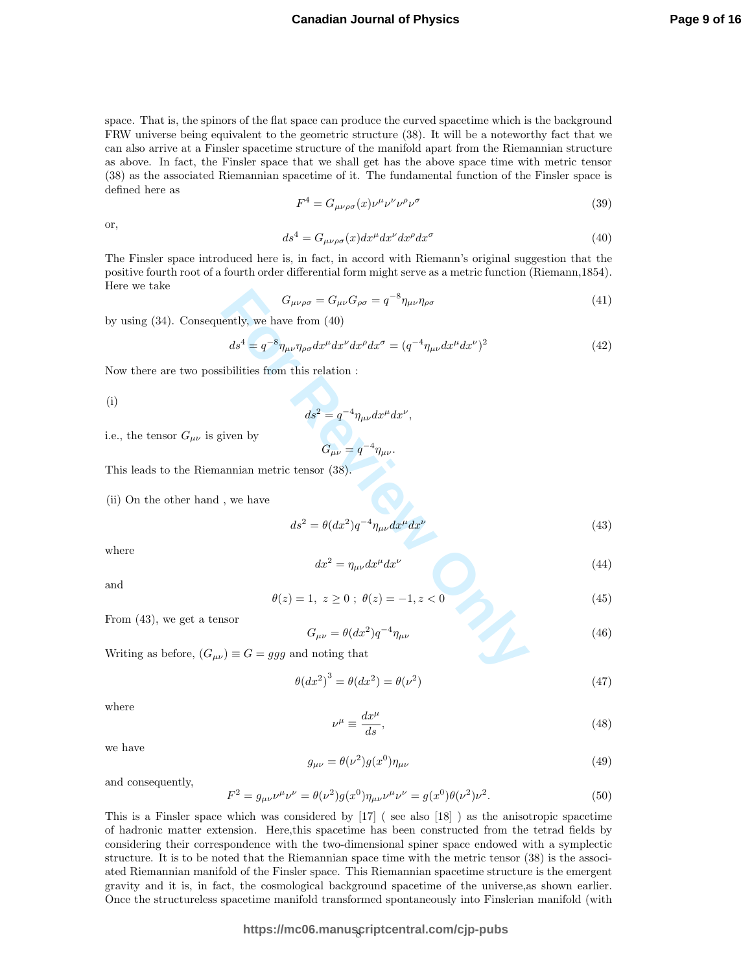space. That is, the spinors of the flat space can produce the curved spacetime which is the background FRW universe being equivalent to the geometric structure (38). It will be a noteworthy fact that we can also arrive at a Finsler spacetime structure of the manifold apart from the Riemannian structure as above. In fact, the Finsler space that we shall get has the above space time with metric tensor (38) as the associated Riemannian spacetime of it. The fundamental function of the Finsler space is defined here as

$$
F^4 = G_{\mu\nu\rho\sigma}(x)\nu^{\mu}\nu^{\nu}\nu^{\rho}\nu^{\sigma}
$$
\n(39)

or,

$$
ds^4 = G_{\mu\nu\rho\sigma}(x)dx^{\mu}dx^{\nu}dx^{\rho}dx^{\sigma}
$$
\n(40)

The Finsler space introduced here is, in fact, in accord with Riemann's original suggestion that the positive fourth root of a fourth order differential form might serve as a metric function (Riemann,1854). Here we take

$$
G_{\mu\nu\rho\sigma} = G_{\mu\nu} G_{\rho\sigma} = q^{-8} \eta_{\mu\nu} \eta_{\rho\sigma}
$$
\n(41)

by using (34). Consequently, we have from (40)

$$
G_{\mu\nu\rho\sigma} = G_{\mu\nu} G_{\rho\sigma} = q^{-8} \eta_{\mu\nu} \eta_{\rho\sigma}
$$
(41)  
ently, we have from (40)  

$$
ds^4 = q^{-8} \eta_{\mu\nu} \eta_{\rho\sigma} dx^{\mu} dx^{\nu} dx^{\rho} dx^{\sigma} = (q^{-4} \eta_{\mu\nu} dx^{\mu} dx^{\nu})^2
$$
(42)  
abilities from this relation :  

$$
ds^2 = q^{-4} \eta_{\mu\nu} dx^{\mu} dx^{\nu},
$$
given by  

$$
G_{\mu\nu} = q^{-4} \eta_{\mu\nu}.
$$
annian metric tensor (38).  
, we have  

$$
ds^2 = \theta (dx^2) q^{-4} \eta_{\mu\nu} dx^{\mu} dx^{\nu}
$$
(43)  

$$
dx^2 = \eta_{\mu\nu} dx^{\mu} dx^{\nu}
$$
(44)  

$$
\theta(z) = 1, z \ge 0; \theta(z) = -1, z < 0
$$
(45)  
asor  

$$
G_{\mu\nu} = \theta (dx^2) q^{-4} \eta_{\mu\nu}
$$
(46)  

$$
\omega = 2 \pi \eta_{\mu\nu} dx^{\mu} dx^{\nu}
$$
(47)

ν ,

.

Now there are two possibilities from this relation :

(i)

$$
ds^2 = q^{-4} \eta_{\mu\nu} dx^{\mu} dx
$$

i.e., the tensor  $G_{\mu\nu}$  is given by

$$
G_{\mu\nu}=q^{-4}\eta_{\mu\nu}
$$

This leads to the Riemannian metric tensor (38).

(ii) On the other hand , we have

$$
ds^2 = \theta(dx^2)q^{-4}\eta_{\mu\nu}dx^{\mu}dx^{\nu}
$$
\n(43)

where

$$
dx^2 = \eta_{\mu\nu} dx^{\mu} dx^{\nu} \tag{44}
$$

and

$$
\theta(z) = 1, \ z \ge 0 \ ; \ \theta(z) = -1, z < 0 \tag{45}
$$

From (43), we get a tensor

$$
G_{\mu\nu} = \theta(dx^2)q^{-4}\eta_{\mu\nu} \tag{46}
$$

Writing as before,  $(G_{\mu\nu}) \equiv G = ggg$  and noting that

$$
\theta(dx^2)^3 = \theta(dx^2) = \theta(\nu^2)
$$
\n(47)

where

$$
\nu^{\mu} \equiv \frac{dx^{\mu}}{ds},\tag{48}
$$

we have

$$
g_{\mu\nu} = \theta(\nu^2)g(x^0)\eta_{\mu\nu} \tag{49}
$$

and consequently,

$$
F^{2} = g_{\mu\nu}\nu^{\mu}\nu^{\nu} = \theta(\nu^{2})g(x^{0})\eta_{\mu\nu}\nu^{\mu}\nu^{\nu} = g(x^{0})\theta(\nu^{2})\nu^{2}.
$$
\n(50)

This is a Finsler space which was considered by [17] ( see also [18] ) as the anisotropic spacetime of hadronic matter extension. Here,this spacetime has been constructed from the tetrad fields by considering their correspondence with the two-dimensional spiner space endowed with a symplectic structure. It is to be noted that the Riemannian space time with the metric tensor (38) is the associated Riemannian manifold of the Finsler space. This Riemannian spacetime structure is the emergent gravity and it is, in fact, the cosmological background spacetime of the universe,as shown earlier. Once the structureless spacetime manifold transformed spontaneously into Finslerian manifold (with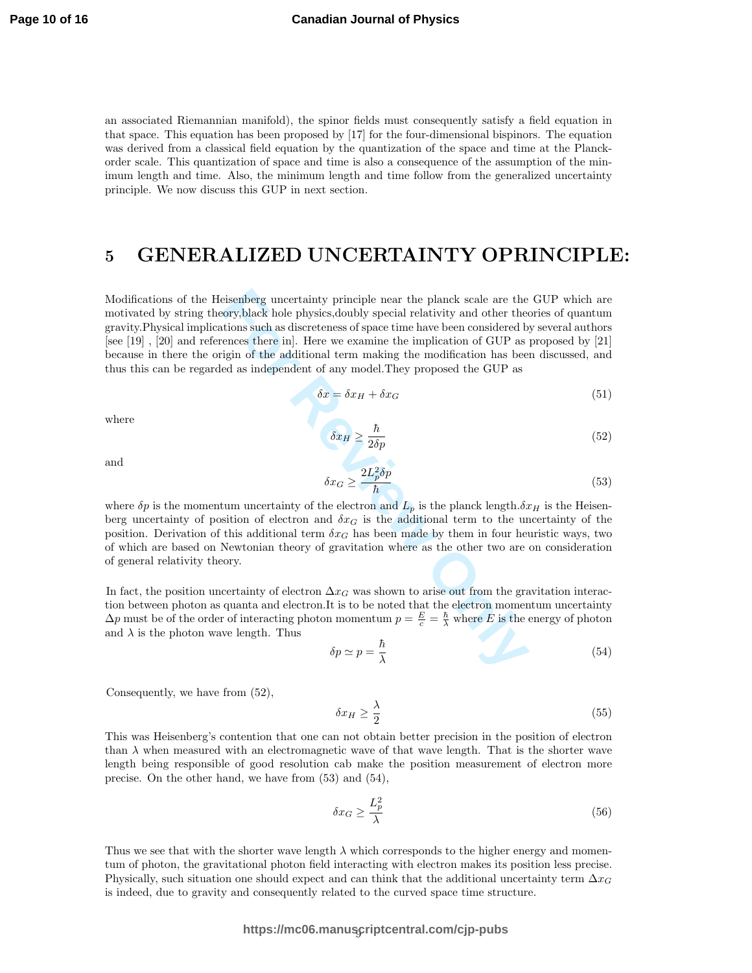an associated Riemannian manifold), the spinor fields must consequently satisfy a field equation in that space. This equation has been proposed by [17] for the four-dimensional bispinors. The equation was derived from a classical field equation by the quantization of the space and time at the Planckorder scale. This quantization of space and time is also a consequence of the assumption of the minimum length and time. Also, the minimum length and time follow from the generalized uncertainty principle. We now discuss this GUP in next section.

## 5 GENERALIZED UNCERTAINTY OPRINCIPLE:

eisenberg uncertainty principle near the planck scale are the ory,<br>black hole physics,<br>doubly special relativity and other the<br>disions such as discreteness of space time have been considered by<br>einces there in]. Here we e Modifications of the Heisenberg uncertainty principle near the planck scale are the GUP which are motivated by string theory,black hole physics,doubly special relativity and other theories of quantum gravity.Physical implications such as discreteness of space time have been considered by several authors [see [19] , [20] and references there in]. Here we examine the implication of GUP as proposed by [21] because in there the origin of the additional term making the modification has been discussed, and thus this can be regarded as independent of any model.They proposed the GUP as

$$
\delta x = \delta x_H + \delta x_G \tag{51}
$$

where

 $\delta x_H \ge \frac{\hbar}{2\delta p}$  (52)

and

$$
\delta x_G \ge \frac{2L_p^2 \delta p}{\hbar} \tag{53}
$$

where  $\delta p$  is the momentum uncertainty of the electron and  $L_p$  is the planck length. $\delta x_H$  is the Heisenberg uncertainty of position of electron and  $\delta x_G$  is the additional term to the uncertainty of the position. Derivation of this additional term  $\delta x_G$  has been made by them in four heuristic ways, two of which are based on Newtonian theory of gravitation where as the other two are on consideration of general relativity theory.

In fact, the position uncertainty of electron  $\Delta x_G$  was shown to arise out from the gravitation interaction between photon as quanta and electron.It is to be noted that the electron momentum uncertainty  $\Delta p$  must be of the order of interacting photon momentum  $p = \frac{E}{c} = \frac{\hbar}{\lambda}$  where E is the energy of photon and  $\lambda$  is the photon wave length. Thus

$$
\delta p \simeq p = \frac{\hbar}{\lambda} \tag{54}
$$

Consequently, we have from (52),

$$
\delta x_H \ge \frac{\lambda}{2} \tag{55}
$$

This was Heisenberg's contention that one can not obtain better precision in the position of electron than  $\lambda$  when measured with an electromagnetic wave of that wave length. That is the shorter wave length being responsible of good resolution cab make the position measurement of electron more precise. On the other hand, we have from (53) and (54),

$$
\delta x_G \ge \frac{L_p^2}{\lambda} \tag{56}
$$

Thus we see that with the shorter wave length  $\lambda$  which corresponds to the higher energy and momentum of photon, the gravitational photon field interacting with electron makes its position less precise. Physically, such situation one should expect and can think that the additional uncertainty term  $\Delta x_G$ is indeed, due to gravity and consequently related to the curved space time structure.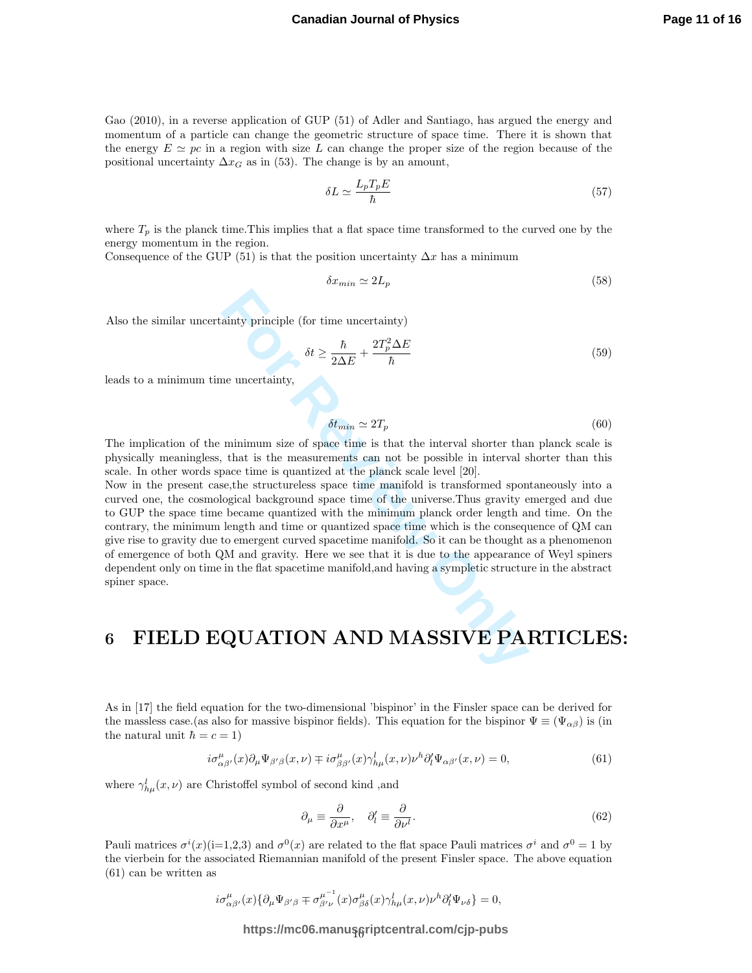Gao (2010), in a reverse application of GUP (51) of Adler and Santiago, has argued the energy and momentum of a particle can change the geometric structure of space time. There it is shown that the energy  $E \simeq pc$  in a region with size L can change the proper size of the region because of the positional uncertainty  $\Delta x_G$  as in (53). The change is by an amount,

$$
\delta L \simeq \frac{L_p T_p E}{\hbar} \tag{57}
$$

where  $T_p$  is the planck time. This implies that a flat space time transformed to the curved one by the energy momentum in the region.

Consequence of the GUP (51) is that the position uncertainty  $\Delta x$  has a minimum

$$
\delta x_{min} \simeq 2L_p \tag{58}
$$

Also the similar uncertainty principle (for time uncertainty)

$$
\delta t \ge \frac{\hbar}{2\Delta E} + \frac{2T_p^2 \Delta E}{\hbar} \tag{59}
$$

leads to a minimum time uncertainty,

$$
\delta t_{min} \simeq 2T_p \tag{60}
$$

The implication of the minimum size of space time is that the interval shorter than planck scale is physically meaningless, that is the measurements can not be possible in interval shorter than this scale. In other words space time is quantized at the planck scale level [20].

 $\delta t \geq \frac{\hbar}{2\Delta E} + \frac{2T_p^2\Delta E}{\hbar}$ ne uncertainty,<br>  $\delta t \geq \frac{\hbar}{2\Delta E} + \frac{2T_p^2\Delta E}{\hbar}$ ne uncertainty,<br>
that is the measurements can not be possible in interval shorter that<br>
that is the measurements can not be possib Now in the present case,the structureless space time manifold is transformed spontaneously into a curved one, the cosmological background space time of the universe.Thus gravity emerged and due to GUP the space time became quantized with the minimum planck order length and time. On the contrary, the minimum length and time or quantized space time which is the consequence of QM can give rise to gravity due to emergent curved spacetime manifold. So it can be thought as a phenomenon of emergence of both QM and gravity. Here we see that it is due to the appearance of Weyl spiners dependent only on time in the flat spacetime manifold,and having a sympletic structure in the abstract spiner space.

## 6 FIELD EQUATION AND MASSIVE PARTICLES:

As in [17] the field equation for the two-dimensional 'bispinor' in the Finsler space can be derived for the massless case.(as also for massive bispinor fields). This equation for the bispinor  $\Psi \equiv (\Psi_{\alpha\beta})$  is (in the natural unit  $\hbar = c = 1$ )

$$
i\sigma_{\alpha\beta'}^{\mu}(x)\partial_{\mu}\Psi_{\beta'\beta}(x,\nu) \mp i\sigma_{\beta\beta'}^{\mu}(x)\gamma_{h\mu}^{l}(x,\nu)\nu^{h}\partial_{l}^{l}\Psi_{\alpha\beta'}(x,\nu) = 0, \tag{61}
$$

where  $\gamma_{h\mu}^l(x,\nu)$  are Christoffel symbol of second kind, and

$$
\partial_{\mu} \equiv \frac{\partial}{\partial x^{\mu}}, \quad \partial_{l}^{\prime} \equiv \frac{\partial}{\partial \nu^{l}}.
$$
\n(62)

Pauli matrices  $\sigma^i(x)$ (i=1,2,3) and  $\sigma^0(x)$  are related to the flat space Pauli matrices  $\sigma^i$  and  $\sigma^0 = 1$  by the vierbein for the associated Riemannian manifold of the present Finsler space. The above equation (61) can be written as

$$
i\sigma^\mu_{\alpha\beta'}(x)\{\partial_\mu\Psi_{\beta'\beta}\mp\sigma^{\mu^{-1}}_{\beta'\nu}(x)\sigma^\mu_{\beta\delta}(x)\gamma^l_{h\mu}(x,\nu)\nu^h\partial'_l\Psi_{\nu\delta}\}=0,
$$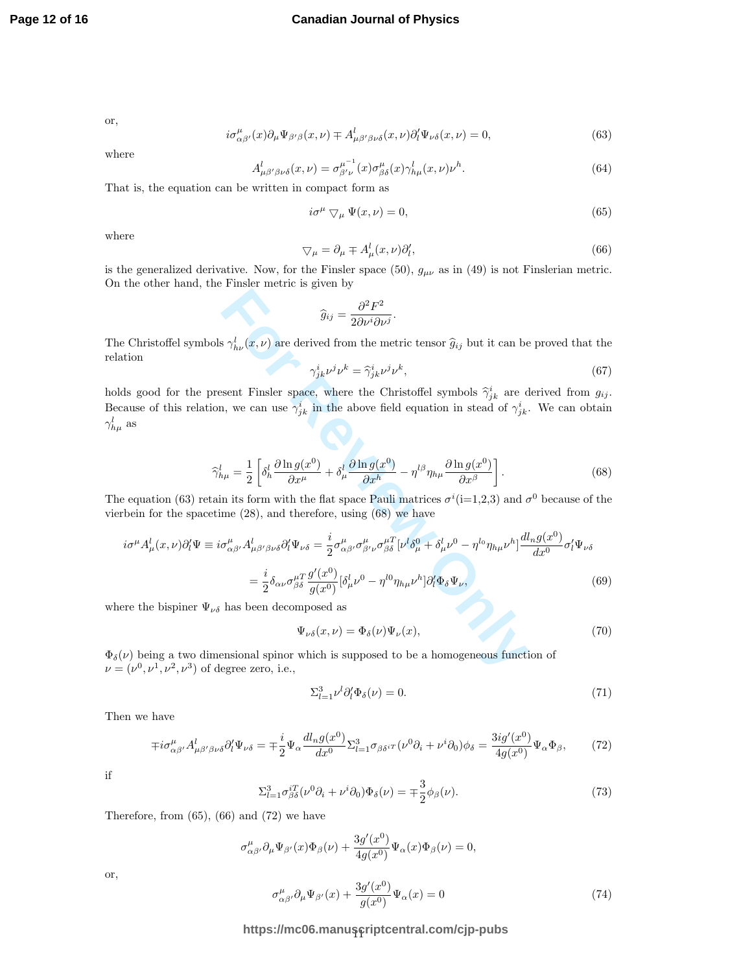or,

$$
i\sigma_{\alpha\beta'}^{\mu}(x)\partial_{\mu}\Psi_{\beta'\beta}(x,\nu) \mp A_{\mu\beta'\beta\nu\delta}^{l}(x,\nu)\partial_{l}^{l}\Psi_{\nu\delta}(x,\nu) = 0, \tag{63}
$$

where

$$
A_{\mu\beta'\beta\nu\delta}^l(x,\nu) = \sigma_{\beta'\nu}^{\mu^{-1}}(x)\sigma_{\beta\delta}^{\mu}(x)\gamma_{h\mu}^l(x,\nu)\nu^h.
$$
\n(64)

That is, the equation can be written in compact form as

$$
i\sigma^{\mu} \nabla_{\mu} \Psi(x,\nu) = 0,\tag{65}
$$

where

$$
\nabla_{\mu} = \partial_{\mu} \mp A_{\mu}^{l}(x, \nu) \partial_{l}^{\prime}, \tag{66}
$$

is the generalized derivative. Now, for the Finsler space  $(50)$ ,  $g_{\mu\nu}$  as in  $(49)$  is not Finslerian metric. On the other hand, the Finsler metric is given by

$$
\widehat{g}_{ij} = \frac{\partial^2 F^2}{2\partial \nu^i \partial \nu^j}.
$$

The Christoffel symbols  $\gamma_{h\nu}^l(x,\nu)$  are derived from the metric tensor  $\hat{g}_{ij}$  but it can be proved that the relation

$$
\gamma^i_{jk}\nu^j\nu^k = \hat{\gamma}^i_{jk}\nu^j\nu^k,\tag{67}
$$

holds good for the present Finsler space, where the Christoffel symbols  $\hat{\gamma}_{jk}^i$  are derived from  $g_{ij}$ . Because of this relation, we can use  $\gamma_{jk}^i$  in the above field equation in stead of  $\gamma_{jk}^i$ . We can obtain  $\gamma^l_{h\mu}$  as

$$
\widehat{\gamma}_{h\mu}^{l} = \frac{1}{2} \left[ \delta_h^l \frac{\partial \ln g(x^0)}{\partial x^{\mu}} + \delta_{\mu}^l \frac{\partial \ln g(x^0)}{\partial x^h} - \eta^{l\beta} \eta_{h\mu} \frac{\partial \ln g(x^0)}{\partial x^{\beta}} \right].
$$
\n(68)

The equation (63) retain its form with the flat space Pauli matrices  $\sigma^{i}$ (i=1,2,3) and  $\sigma^{0}$  because of the vierbein for the spacetime (28), and therefore, using (68) we have

$$
\hat{g}_{ij} = \frac{\partial^2 F^2}{2\partial \nu^i \partial \nu^j}.
$$
  
\n(Christoffel symbols  $\gamma_{h\nu}^l(x, \nu)$  are derived from the metric tensor  $\hat{g}_{ij}$  but it can be proved that the  
\ntion  
\n
$$
\gamma_{jk}^i \nu^j \nu^k = \hat{\gamma}_{jk}^i \nu^j \nu^k,
$$
\n(67)  
\n1s good for the present Finsler space, where the Christoffel symbols  $\hat{\gamma}_{jk}^i$  are derived from  $g_{ij}$ .  
\n2. (67)  
\n2. (67)  
\n3. (68)  
\n3. (69)  
\n3. (69)  
\n3. (69)  
\n3. (69)  
\n4. (61)  
\n5. (61)  
\n6. (61)  
\n6. (61)  
\n6. (61)  
\n6. (62)  
\n6. (63)  
\n6. (64)  
\n6. (65)  
\n6. (67)  
\n6. (69)  
\n6. (69)  
\n6. (61)  
\n6. (61)  
\n6. (62)  
\n6. (69)  
\n6. (61)  
\n6. (61)  
\n6. (62)  
\n6. (63)  
\n6. (64)  
\n6. (65)  
\n6. (67)  
\n6. (69)  
\n6. (69)  
\n6. (61)  
\n6. (61)  
\n6. (62)  
\n6. (63)  
\n6. (64)  
\n6. (65)  
\n6. (67)  
\n6. (69)  
\n6. (69)  
\n6. (61)  
\n6. (61)  
\n6. (62)  
\n6. (63)  
\n6. (64)  
\n6. (65)  
\n6. (67)  
\n6. (69)  
\n6. (69)  
\n6. (61)  
\n6. (61)  
\n6. (62)  
\n6. (63)  
\n6. (64)  
\n6. (65)  
\n6. (67)  
\n6. (69)  
\n6. (61)  
\n6. (61)  
\n6. (62)  
\n6. (63)  
\n6. (64)  
\n6. (65

where the bispiner  $\Psi_{\nu\delta}$  has been decomposed as

$$
\Psi_{\nu\delta}(x,\nu) = \Phi_{\delta}(\nu)\Psi_{\nu}(x),\tag{70}
$$

 $\Phi_{\delta}(\nu)$  being a two dimensional spinor which is supposed to be a homogeneous function of  $\nu = (\nu^0, \nu^1, \nu^2, \nu^3)$  of degree zero, i.e.,

$$
\sum_{l=1}^{3} \nu^{l} \partial_{l}^{\prime} \Phi_{\delta}(\nu) = 0. \tag{71}
$$

Then we have

$$
\mp i\sigma^{\mu}_{\alpha\beta'}A^{l}_{\mu\beta'\beta\nu\delta}\partial'_{l}\Psi_{\nu\delta} = \mp \frac{i}{2}\Psi_{\alpha}\frac{dl_{n}g(x^{0})}{dx^{0}}\Sigma_{l=1}^{3}\sigma_{\beta\delta^{i}T}(\nu^{0}\partial_{i}+\nu^{i}\partial_{0})\phi_{\delta} = \frac{3ig'(x^{0})}{4g(x^{0})}\Psi_{\alpha}\Phi_{\beta},\tag{72}
$$

if

$$
\Sigma_{l=1}^3 \sigma_{\beta\delta}^{iT} (\nu^0 \partial_i + \nu^i \partial_0) \Phi_\delta(\nu) = \mp \frac{3}{2} \phi_\beta(\nu). \tag{73}
$$

Therefore, from  $(65)$ ,  $(66)$  and  $(72)$  we have

$$
\sigma^{\mu}_{\alpha\beta'}\partial_{\mu}\Psi_{\beta'}(x)\Phi_{\beta}(\nu) + \frac{3g'(x^0)}{4g(x^0)}\Psi_{\alpha}(x)\Phi_{\beta}(\nu) = 0,
$$

or,

$$
\sigma^{\mu}_{\alpha\beta'}\partial_{\mu}\Psi_{\beta'}(x) + \frac{3g'(x^0)}{g(x^0)}\Psi_{\alpha}(x) = 0
$$
\n(74)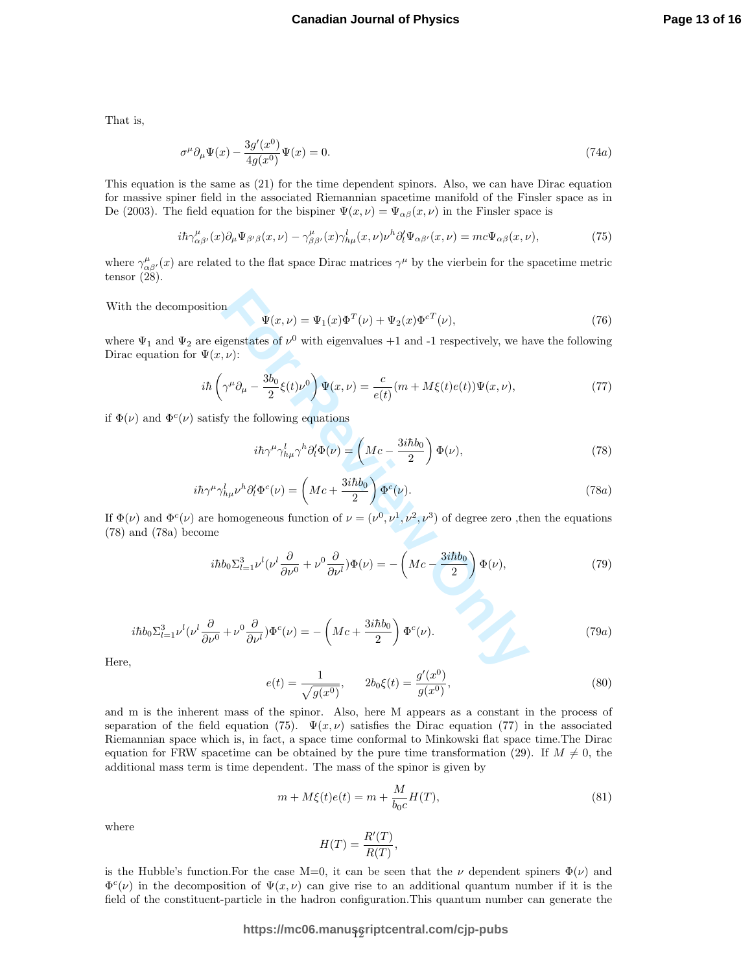That is,

$$
\sigma^{\mu}\partial_{\mu}\Psi(x) - \frac{3g'(x^0)}{4g(x^0)}\Psi(x) = 0.
$$
\n(74a)

This equation is the same as (21) for the time dependent spinors. Also, we can have Dirac equation for massive spiner field in the associated Riemannian spacetime manifold of the Finsler space as in De (2003). The field equation for the bispiner  $\Psi(x,\nu) = \Psi_{\alpha\beta}(x,\nu)$  in the Finsler space is

$$
i\hbar\gamma^{\mu}_{\alpha\beta'}(x)\partial_{\mu}\Psi_{\beta'\beta}(x,\nu) - \gamma^{\mu}_{\beta\beta'}(x)\gamma^l_{h\mu}(x,\nu)\nu^h\partial_l'\Psi_{\alpha\beta'}(x,\nu) = mc\Psi_{\alpha\beta}(x,\nu),\tag{75}
$$

where  $\gamma_{\alpha\beta'}^{\mu}(x)$  are related to the flat space Dirac matrices  $\gamma^{\mu}$  by the vierbein for the spacetime metric tensor  $(28)$ .

With the decomposition

$$
\Psi(x,\nu) = \Psi_1(x)\Phi^T(\nu) + \Psi_2(x)\Phi^{cT}(\nu),\tag{76}
$$

where  $\Psi_1$  and  $\Psi_2$  are eigenstates of  $\nu^0$  with eigenvalues +1 and -1 respectively, we have the following Dirac equation for  $\Psi(x, \nu)$ :

$$
i\hbar \left(\gamma^{\mu}\partial_{\mu} - \frac{3b_0}{2}\xi(t)\nu^0\right)\Psi(x,\nu) = \frac{c}{e(t)}(m + M\xi(t)e(t))\Psi(x,\nu),\tag{77}
$$

if  $\Phi(\nu)$  and  $\Phi^c(\nu)$  satisfy the following equations

$$
i\hbar\gamma^{\mu}\gamma_{h\mu}^{l}\gamma^{h}\partial_{l}^{\prime}\Phi(\nu) = \left(Mc - \frac{3i\hbar b_{0}}{2}\right)\Phi(\nu),\tag{78}
$$

$$
i\hbar\gamma^{\mu}\gamma_{h\mu}^{l}\nu^{h}\partial_{l}^{\prime}\Phi^{c}(\nu) = \left(Mc + \frac{3i\hbar b_{0}}{2}\right)\Phi^{c}(\nu). \tag{78a}
$$

If  $\Phi(\nu)$  and  $\Phi^c(\nu)$  are homogeneous function of  $\nu = (\nu^0, \nu^1, \nu^2, \nu^3)$  of degree zero, then the equations (78) and (78a) become

tion  
\n
$$
\Psi(x,\nu) = \Psi_1(x)\Phi^T(\nu) + \Psi_2(x)\Phi^{cT}(\nu),
$$
\n(76)  
\neigenstates of  $\nu^0$  with eigenvalues +1 and -1 respectively, we have the following  
\n $(x,\nu)$ :  
\n
$$
\hat{u}(\gamma^{\mu}\partial_{\mu} - \frac{3b_0}{2}\xi(t)\nu^0) \Psi(x,\nu) = \frac{c}{e(t)}(m + M\xi(t)e(t))\Psi(x,\nu),
$$
\n(77)  
\n
$$
i\hbar\gamma^{\mu}\gamma_{h\mu}^l\gamma^h\partial_l^l\Phi(\nu) = \left(Mc - \frac{3i\hbar b_0}{2}\right)\Phi(\nu),
$$
\n(78)  
\n
$$
\mu\gamma_{h\mu}^l\nu^h\partial_l^l\Phi^c(\nu) = \left(Mc + \frac{3i\hbar b_0}{2}\right)\Phi^c(\nu).
$$
\n(78a)  
\ne homogeneous function of  $\nu = (\nu^0, \nu^1, \nu^2, \nu^3)$  of degree zero, then the equations  
\n
$$
i\hbar b_0\Sigma_{l=1}^3\nu^l(\nu^l\frac{\partial}{\partial\nu^0} + \nu^0\frac{\partial}{\partial\nu^l})\Phi(\nu) = -\left(Mc - \frac{3i\hbar b_0}{2}\right)\Phi(\nu),
$$
\n(79)  
\n
$$
\frac{\partial}{\partial\nu^0} + \nu^0\frac{\partial}{\partial\nu^l}\Phi^c(\nu) = -\left(Mc + \frac{3i\hbar b_0}{2}\right)\Phi^c(\nu).
$$
\n(79a)

$$
i\hbar b_0 \Sigma_{l=1}^3 \nu^l (\nu^l \frac{\partial}{\partial \nu^0} + \nu^0 \frac{\partial}{\partial \nu^l}) \Phi^c (\nu) = -\left( Mc + \frac{3i\hbar b_0}{2} \right) \Phi^c (\nu).
$$
 (79a)

Here,

$$
e(t) = \frac{1}{\sqrt{g(x^0)}}, \qquad 2b_0\xi(t) = \frac{g'(x^0)}{g(x^0)},
$$
\n(80)

and m is the inherent mass of the spinor. Also, here M appears as a constant in the process of separation of the field equation (75).  $\Psi(x, \nu)$  satisfies the Dirac equation (77) in the associated Riemannian space which is, in fact, a space time conformal to Minkowski flat space time.The Dirac equation for FRW spacetime can be obtained by the pure time transformation (29). If  $M \neq 0$ , the additional mass term is time dependent. The mass of the spinor is given by

$$
m + M\xi(t)e(t) = m + \frac{M}{b_0c}H(T),
$$
\n(81)

where

$$
H(T) = \frac{R'(T)}{R(T)},
$$

is the Hubble's function. For the case  $M=0$ , it can be seen that the  $\nu$  dependent spiners  $\Phi(\nu)$  and  $\Phi^c(\nu)$  in the decomposition of  $\Psi(x,\nu)$  can give rise to an additional quantum number if it is the field of the constituent-particle in the hadron configuration.This quantum number can generate the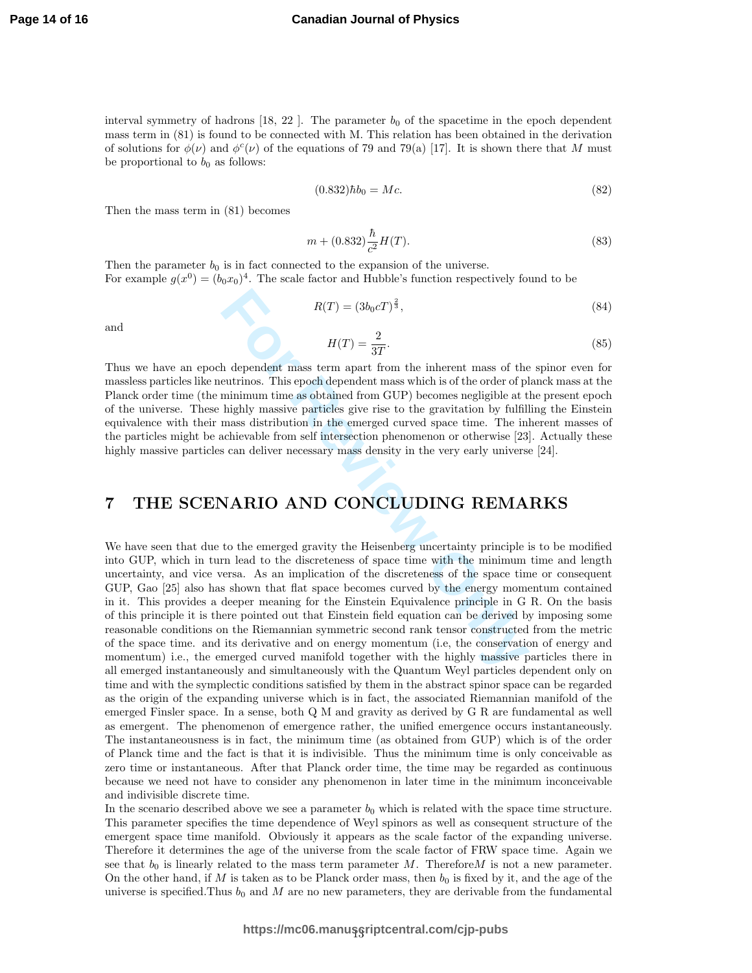interval symmetry of hadrons  $[18, 22]$ . The parameter  $b<sub>0</sub>$  of the spacetime in the epoch dependent mass term in (81) is found to be connected with M. This relation has been obtained in the derivation of solutions for  $\phi(\nu)$  and  $\phi^c(\nu)$  of the equations of 79 and 79(a) [17]. It is shown there that M must be proportional to  $b_0$  as follows:

$$
(0.832) \hbar b_0 = Mc.
$$
\n(82)

Then the mass term in (81) becomes

$$
m + (0.832) \frac{\hbar}{c^2} H(T). \tag{83}
$$

Then the parameter  $b_0$  is in fact connected to the expansion of the universe. For example  $g(x^0) = (b_0x_0)^4$ . The scale factor and Hubble's function respectively found to be

$$
R(T) = (3b_0cT)^{\frac{2}{3}},\t\t(84)
$$

and

$$
H(T) = \frac{2}{3T}.\tag{85}
$$

Thus we have an epoch dependent mass term apart from the inherent mass of the spinor even for massless particles like neutrinos. This epoch dependent mass which is of the order of planck mass at the Planck order time (the minimum time as obtained from GUP) becomes negligible at the present epoch of the universe. These highly massive particles give rise to the gravitation by fulfilling the Einstein equivalence with their mass distribution in the emerged curved space time. The inherent masses of the particles might be achievable from self intersection phenomenon or otherwise [23]. Actually these highly massive particles can deliver necessary mass density in the very early universe [24].

### 7 THE SCENARIO AND CONCLUDING REMARKS

 $R(T)=(3b_0cT)^{\frac{2}{3}}, \label{eq:R}$  helpendent mass term apart from the inherent mass of the<br>eutrinos. This epoch dependent mass which is of the order of pluminimum<br>minimum time as obtained from GUP) becomes negligible at thighly We have seen that due to the emerged gravity the Heisenberg uncertainty principle is to be modified into GUP, which in turn lead to the discreteness of space time with the minimum time and length uncertainty, and vice versa. As an implication of the discreteness of the space time or consequent GUP, Gao [25] also has shown that flat space becomes curved by the energy momentum contained in it. This provides a deeper meaning for the Einstein Equivalence principle in G R. On the basis of this principle it is there pointed out that Einstein field equation can be derived by imposing some reasonable conditions on the Riemannian symmetric second rank tensor constructed from the metric of the space time. and its derivative and on energy momentum (i.e, the conservation of energy and momentum) i.e., the emerged curved manifold together with the highly massive particles there in all emerged instantaneously and simultaneously with the Quantum Weyl particles dependent only on time and with the symplectic conditions satisfied by them in the abstract spinor space can be regarded as the origin of the expanding universe which is in fact, the associated Riemannian manifold of the emerged Finsler space. In a sense, both Q M and gravity as derived by G R are fundamental as well as emergent. The phenomenon of emergence rather, the unified emergence occurs instantaneously. The instantaneousness is in fact, the minimum time (as obtained from GUP) which is of the order of Planck time and the fact is that it is indivisible. Thus the minimum time is only conceivable as zero time or instantaneous. After that Planck order time, the time may be regarded as continuous because we need not have to consider any phenomenon in later time in the minimum inconceivable and indivisible discrete time.

In the scenario described above we see a parameter  $b_0$  which is related with the space time structure. This parameter specifies the time dependence of Weyl spinors as well as consequent structure of the emergent space time manifold. Obviously it appears as the scale factor of the expanding universe. Therefore it determines the age of the universe from the scale factor of FRW space time. Again we see that  $b_0$  is linearly related to the mass term parameter M. Therefore M is not a new parameter. On the other hand, if  $M$  is taken as to be Planck order mass, then  $b_0$  is fixed by it, and the age of the universe is specified. Thus  $b_0$  and M are no new parameters, they are derivable from the fundamental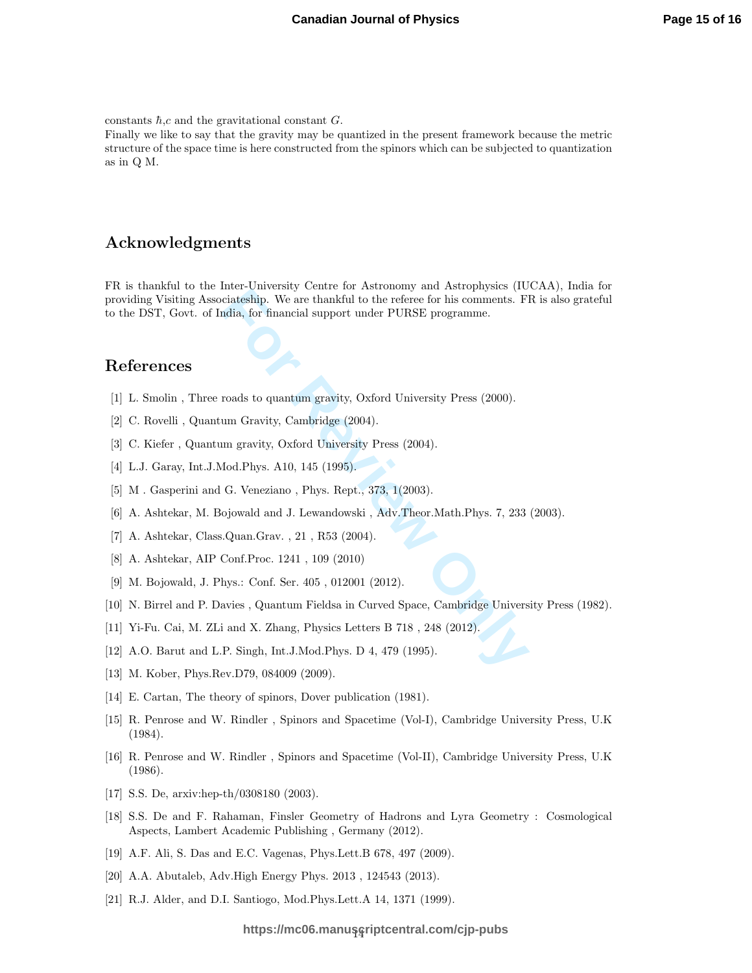constants  $\hbar$ , c and the gravitational constant G.

Finally we like to say that the gravity may be quantized in the present framework because the metric structure of the space time is here constructed from the spinors which can be subjected to quantization as in Q M.

#### Acknowledgments

meare unionary conter or instorting that isothery decided<br>tical testing. We are thankful to the referee for his comments. Fl<br>mands to quantum gravity, Oxford University Press (2000).<br>tum Gravity, Cambridge (2004).<br>Im gravi FR is thankful to the Inter-University Centre for Astronomy and Astrophysics (IUCAA), India for providing Visiting Associateship. We are thankful to the referee for his comments. FR is also grateful to the DST, Govt. of India, for financial support under PURSE programme.

#### References

- [1] L. Smolin , Three roads to quantum gravity, Oxford University Press (2000).
- [2] C. Rovelli , Quantum Gravity, Cambridge (2004).
- [3] C. Kiefer , Quantum gravity, Oxford University Press (2004).
- [4] L.J. Garay, Int.J.Mod.Phys. A10, 145 (1995).
- [5] M. Gasperini and G. Veneziano, Phys. Rept., 373, 1(2003).
- [6] A. Ashtekar, M. Bojowald and J. Lewandowski , Adv.Theor.Math.Phys. 7, 233 (2003).
- [7] A. Ashtekar, Class.Quan.Grav. , 21 , R53 (2004).
- [8] A. Ashtekar, AIP Conf.Proc. 1241 , 109 (2010)
- [9] M. Bojowald, J. Phys.: Conf. Ser. 405 , 012001 (2012).
- [10] N. Birrel and P. Davies , Quantum Fieldsa in Curved Space, Cambridge University Press (1982).
- [11] Yi-Fu. Cai, M. ZLi and X. Zhang, Physics Letters B 718 , 248 (2012).
- [12] A.O. Barut and L.P. Singh, Int.J.Mod.Phys. D 4, 479 (1995).
- [13] M. Kober, Phys.Rev.D79, 084009 (2009).
- [14] E. Cartan, The theory of spinors, Dover publication (1981).
- [15] R. Penrose and W. Rindler , Spinors and Spacetime (Vol-I), Cambridge University Press, U.K (1984).
- [16] R. Penrose and W. Rindler , Spinors and Spacetime (Vol-II), Cambridge University Press, U.K (1986).
- [17] S.S. De, arxiv:hep-th/0308180 (2003).
- [18] S.S. De and F. Rahaman, Finsler Geometry of Hadrons and Lyra Geometry : Cosmological Aspects, Lambert Academic Publishing , Germany (2012).
- [19] A.F. Ali, S. Das and E.C. Vagenas, Phys.Lett.B 678, 497 (2009).
- [20] A.A. Abutaleb, Adv.High Energy Phys. 2013 , 124543 (2013).
- [21] R.J. Alder, and D.I. Santiogo, Mod.Phys.Lett.A 14, 1371 (1999).